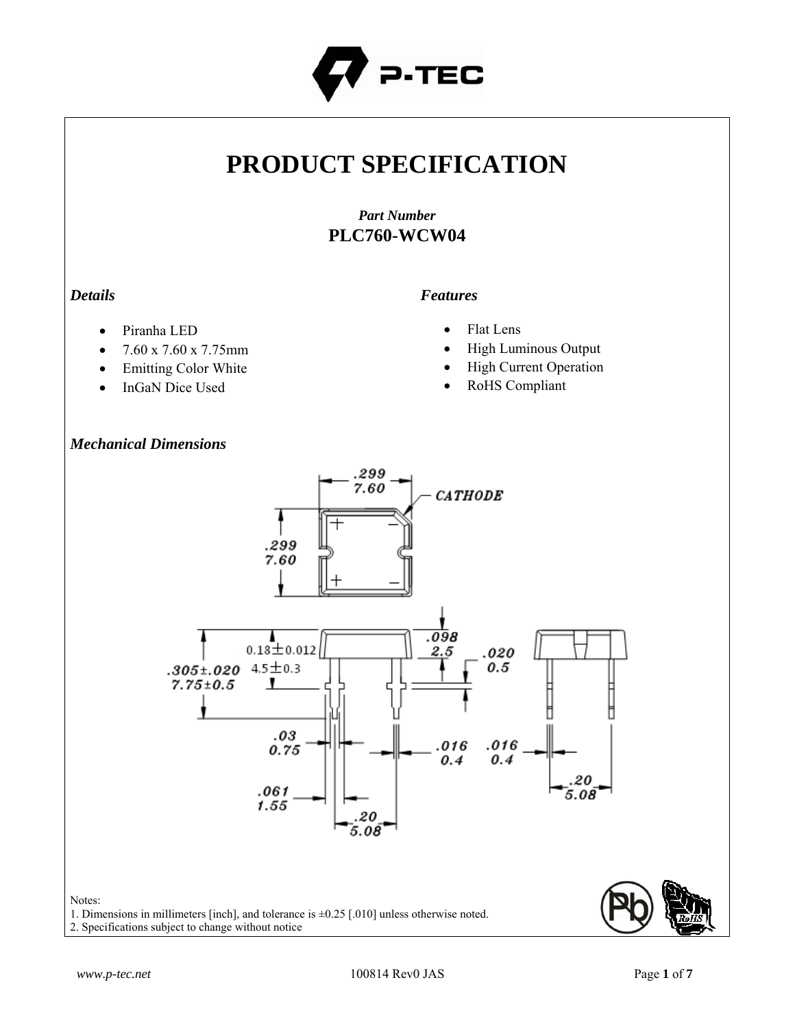

# **PRODUCT SPECIFICATION**

# *Part Number* **PLC760-WCW04**

#### *Details*

#### *Features*

- Piranha LED
- 7.60 x 7.60 x 7.75mm
- Emitting Color White
- InGaN Dice Used

#### *Mechanical Dimensions*

- Flat Lens
- High Luminous Output
- High Current Operation
- RoHS Compliant





1. Dimensions in millimeters [inch], and tolerance is ±0.25 [.010] unless otherwise noted.

2. Specifications subject to change without notice

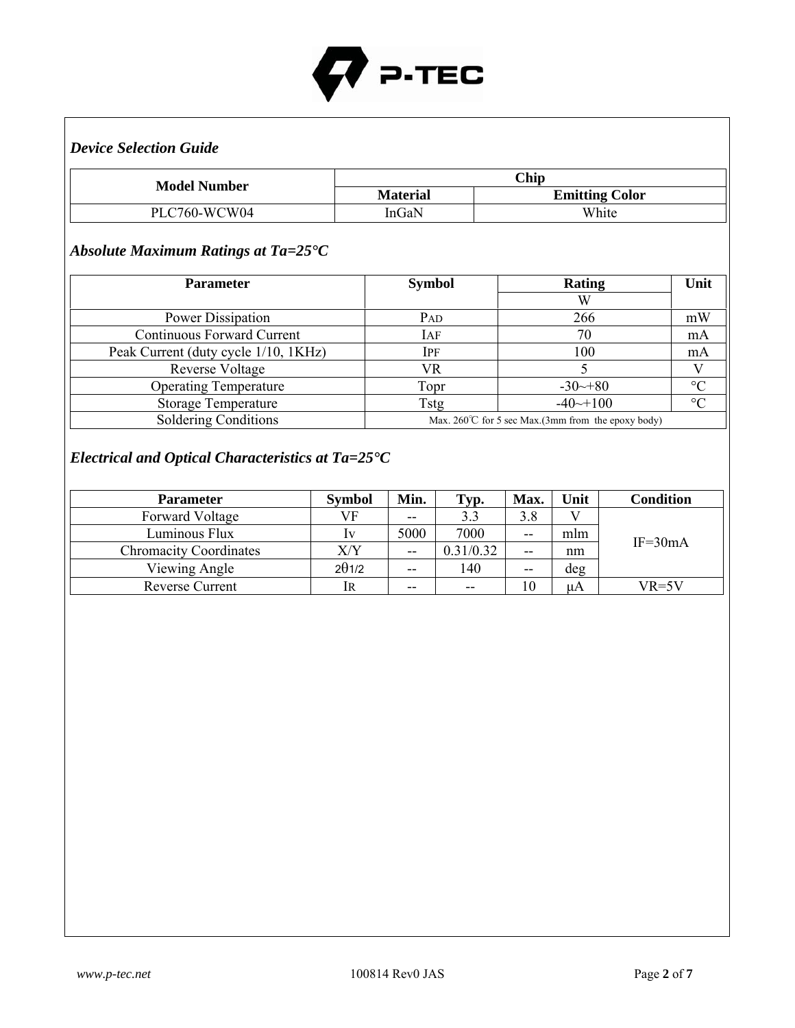

## *Device Selection Guide*

| <b>Model Number</b> | Chip            |                       |  |
|---------------------|-----------------|-----------------------|--|
|                     | <b>Material</b> | <b>Emitting Color</b> |  |
| PLC760-WCW04        | InGaN           | White                 |  |

## *Absolute Maximum Ratings at Ta=25°C*

| <b>Parameter</b>                     | <b>Symbol</b>                                                 | Rating               | Unit            |
|--------------------------------------|---------------------------------------------------------------|----------------------|-----------------|
|                                      |                                                               | W                    |                 |
| <b>Power Dissipation</b>             | P <sub>AD</sub>                                               | 266                  | mW              |
| <b>Continuous Forward Current</b>    | IAF                                                           | 70                   | mA              |
| Peak Current (duty cycle 1/10, 1KHz) | Ipf                                                           | 100                  | mA              |
| <b>Reverse Voltage</b>               | VR                                                            |                      |                 |
| <b>Operating Temperature</b>         | Topr                                                          | $-30 \rightarrow 80$ | $\rm ^{\circ}C$ |
| <b>Storage Temperature</b>           | Tstg                                                          | $-40$ $-100$         | $\rm ^{\circ}C$ |
| <b>Soldering Conditions</b>          | Max. $260^{\circ}$ C for 5 sec Max. (3mm from the epoxy body) |                      |                 |

## *Electrical and Optical Characteristics at Ta=25°C*

| <b>Parameter</b>              | <b>Symbol</b> | Min.  | $\mathbf{v}_{\mathbf{v}}$ | Max.  | Unit | Condition   |
|-------------------------------|---------------|-------|---------------------------|-------|------|-------------|
| Forward Voltage               | VF            | $- -$ | 3.3                       | 3.8   |      |             |
| Luminous Flux                 | $_{\rm IV}$   | 5000  | 7000                      | $- -$ | mlm  | $IF = 30mA$ |
| <b>Chromacity Coordinates</b> | X/Y           | $- -$ | 0.31/0.32                 | $- -$ | nm   |             |
| Viewing Angle                 | $2\theta$ 1/2 | $- -$ | 140                       | $-$   | deg  |             |
| <b>Reverse Current</b>        | 1R            | $- -$ | $- -$                     | 10    | μA   | $VR=5V$     |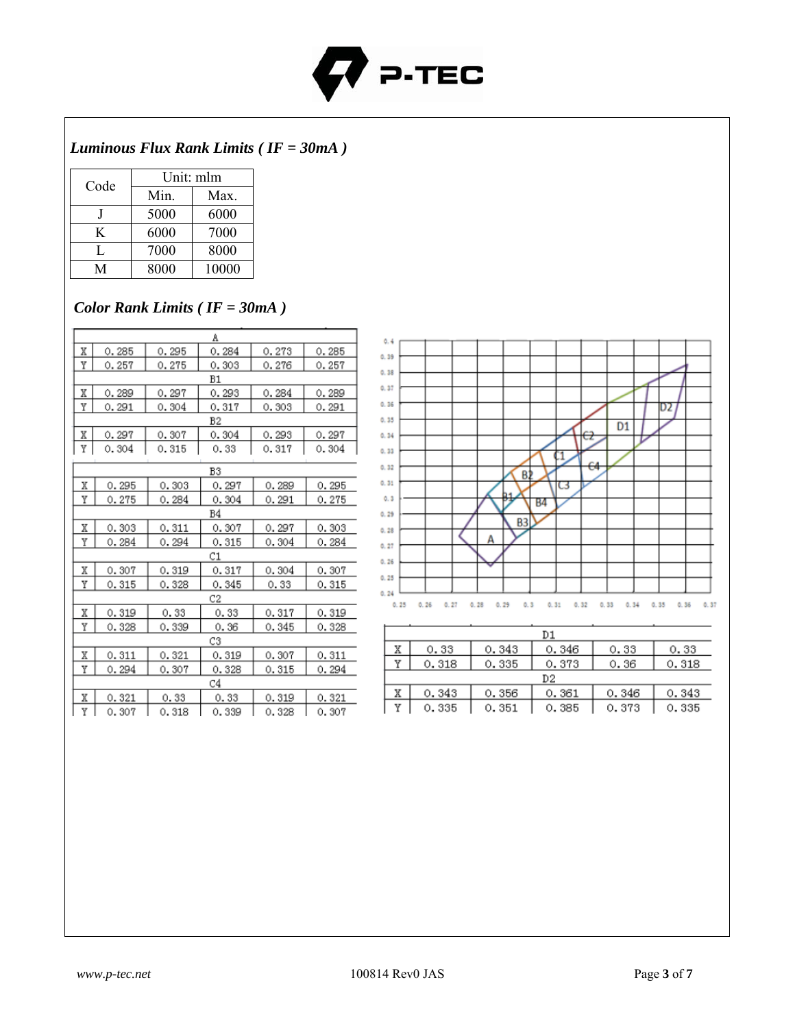

## *Luminous Flux Rank Limits ( IF = 30mA )*

| Code | Unit: mlm |       |  |
|------|-----------|-------|--|
|      | Min.      | Max.  |  |
|      | 5000      | 6000  |  |
| K    | 6000      | 7000  |  |
| L    | 7000      | 8000  |  |
| NЛ   | 8000      | 10000 |  |

#### *Color Rank Limits ( IF = 30mA )*

|   |       |       | А     |       |       |
|---|-------|-------|-------|-------|-------|
| Χ | 0.285 | 0.295 | 0.284 | 0.273 | 0.285 |
| Y | 0.257 | 0.275 | 0.303 | 0.276 | 0.257 |
|   |       |       | B1    |       |       |
| Χ | 0.289 | 0.297 | 0.293 | 0.284 | 0.289 |
| Y | 0.291 | 0.304 | 0.317 | 0.303 | 0.291 |
|   |       |       | B2    |       |       |
| Χ | 0.297 | 0.307 | 0.304 | 0.293 | 0.297 |
| Y | 0.304 | 0.315 | 0.33  | 0.317 | 0.304 |
|   |       |       | BЗ    |       |       |
| Χ | 0.295 | 0.303 | 0.297 | 0.289 | 0.295 |
| γ | 0.275 | 0.284 | 0.304 | 0.291 | 0.275 |
|   |       |       | B4    |       |       |
| X | 0.303 | 0.311 | 0.307 | 0.297 | 0.303 |
| Υ | 0.284 | 0.294 | 0.315 | 0.304 | 0.284 |
|   |       |       | C1    |       |       |
| X | 0.307 | 0.319 | 0.317 | 0.304 | 0.307 |
| Υ | 0.315 | 0.328 | 0.345 | 0.33  | 0.315 |
|   |       |       | C2    |       |       |
| X | 0.319 | 0.33  | 0.33  | 0.317 | 0.319 |
| Y | 0.328 | 0.339 | 0.36  | 0.345 | 0.328 |
|   | C3    |       |       |       |       |
| X | 0.311 | 0.321 | 0.319 | 0.307 | 0.311 |
| Ÿ | 0.294 | 0.307 | 0.328 | 0.315 | 0.294 |
|   |       |       | C4    |       |       |
| X | 0.321 | 0.33  | 0.33  | 0.319 | 0.321 |
| Ÿ | 0.307 | 0.318 | 0.339 | 0.328 | 0.307 |



| Χ  | 0.33  | 0.343 | 0.346 | 0.33  | 0.33  |
|----|-------|-------|-------|-------|-------|
| 37 | 0.318 | 0.335 | 0.373 | 0.36  | 0.318 |
|    |       |       | D2    |       |       |
| Χ  | 0.343 | 0.356 | 0.361 | 0.346 | 0.343 |
|    | 0.335 | 0.351 | 0.385 | 0.373 | 0.335 |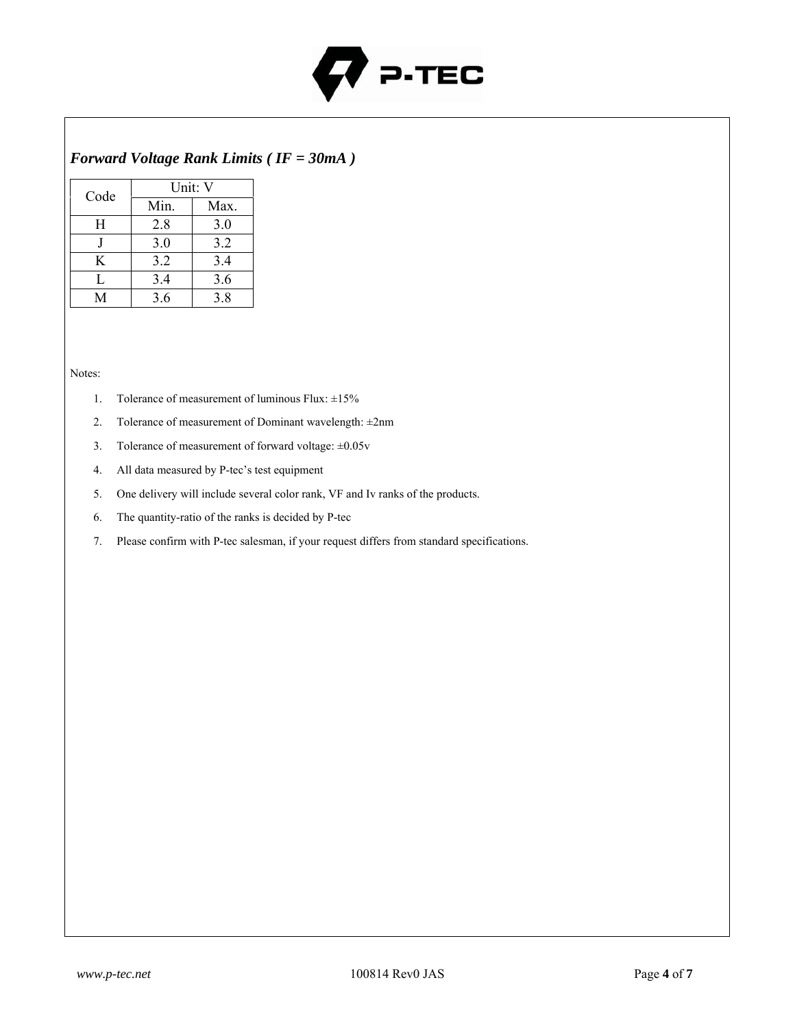

## *Forward Voltage Rank Limits ( IF = 30mA )*

| Code    | Unit: V |      |  |  |
|---------|---------|------|--|--|
|         | Min.    | Max. |  |  |
| H       | 2.8     | 3.0  |  |  |
|         | 3.0     | 3.2  |  |  |
| $\rm K$ | 3.2     | 3.4  |  |  |
| L       | 3.4     | 3.6  |  |  |
| NЛ      | 3.6     | 3.8  |  |  |

Notes:

- 1. Tolerance of measurement of luminous Flux:  $\pm 15\%$
- 2. Tolerance of measurement of Dominant wavelength: ±2nm
- 3. Tolerance of measurement of forward voltage: ±0.05v
- 4. All data measured by P-tec's test equipment
- 5. One delivery will include several color rank, VF and Iv ranks of the products.
- 6. The quantity-ratio of the ranks is decided by P-tec
- 7. Please confirm with P-tec salesman, if your request differs from standard specifications.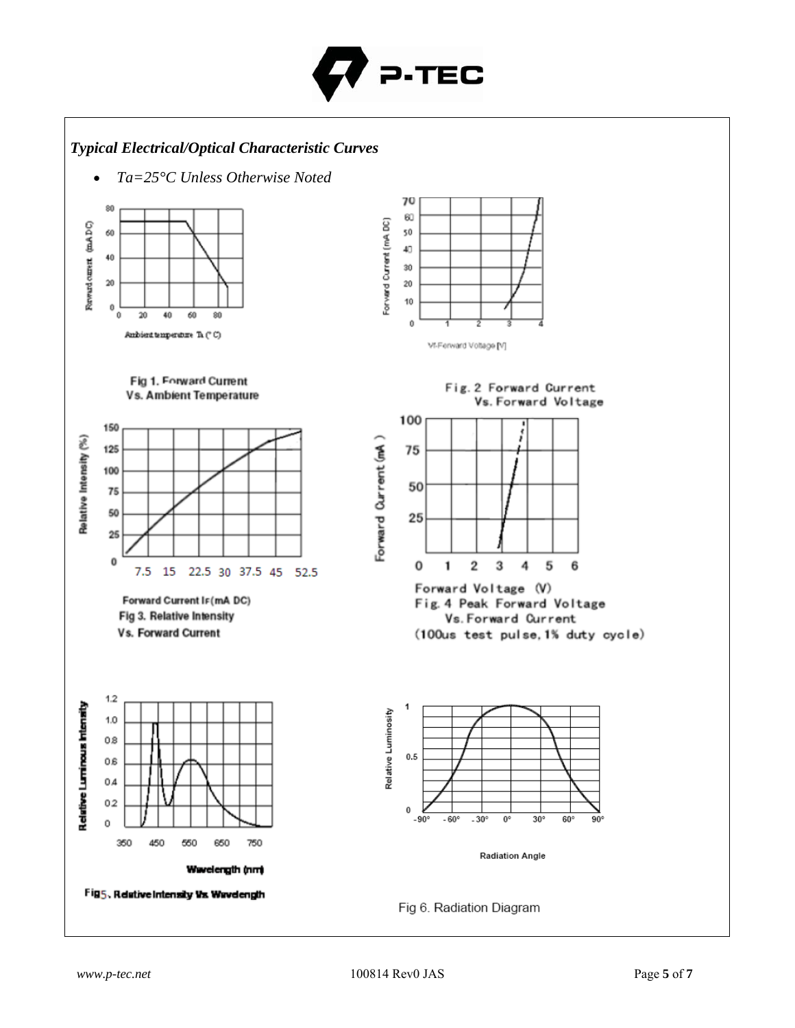

## *Typical Electrical/Optical Characteristic Curves*

• *Ta=25°C Unless Otherwise Noted*





Vf-Ferward Voltage [V]

Fig 1. Forward Current **Vs. Ambient Temperature** 



Forward Current IF(mA DC) Fig 3. Relative Intensity **Vs. Forward Current** 







Forward Voltage (V) Fig. 4 Peak Forward Voltage Vs. Forward Current (100us test pulse, 1% duty cycle)

Fig. 2 Forward Current



**Radiation Angle** 

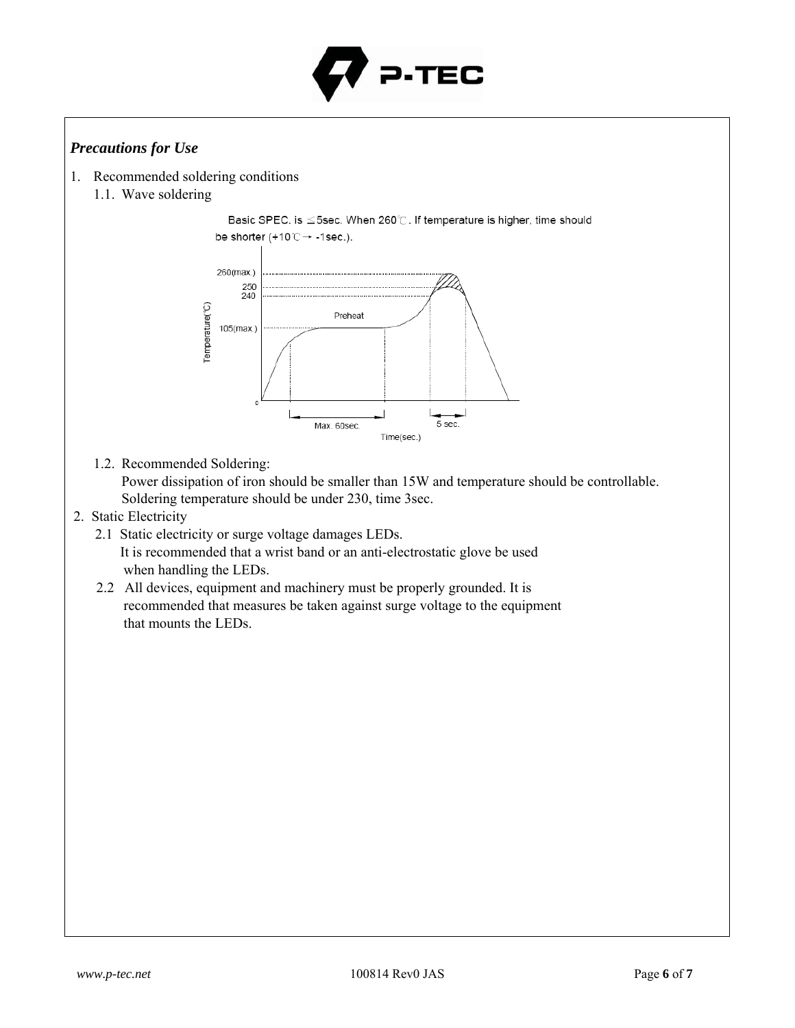

#### *Precautions for Use*

- 1. Recommended soldering conditions
	- 1.1. Wave soldering

Basic SPEC. is ≤5sec. When 260℃. If temperature is higher, time should be shorter (+10 $\degree$ C  $\rightarrow$  -1sec.).



1.2. Recommended Soldering:

Power dissipation of iron should be smaller than 15W and temperature should be controllable. Soldering temperature should be under 230, time 3sec.

- 2. Static Electricity
	- 2.1 Static electricity or surge voltage damages LEDs. It is recommended that a wrist band or an anti-electrostatic glove be used when handling the LEDs.
	- 2.2 All devices, equipment and machinery must be properly grounded. It is recommended that measures be taken against surge voltage to the equipment that mounts the LEDs.